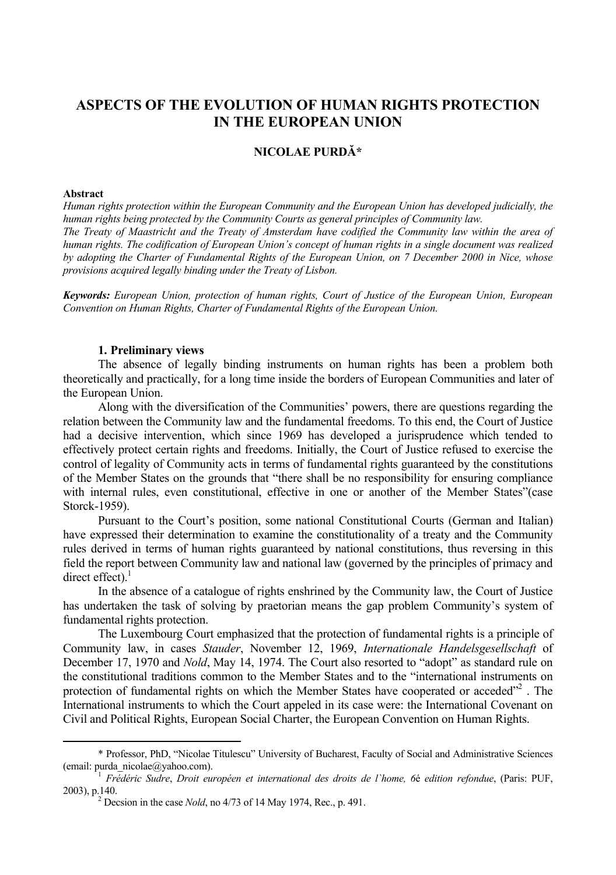# **ASPECTS OF THE EVOLUTION OF HUMAN RIGHTS PROTECTION IN THE EUROPEAN UNION**

## **NICOLAE PURDĂ\***

#### **Abstract**

*Human rights protection within the European Community and the European Union has developed judicially, the human rights being protected by the Community Courts as general principles of Community law. The Treaty of Maastricht and the Treaty of Amsterdam have codified the Community law within the area of human rights. The codification of European Union's concept of human rights in a single document was realized by adopting the Charter of Fundamental Rights of the European Union, on 7 December 2000 in Nice, whose provisions acquired legally binding under the Treaty of Lisbon.* 

*Keywords: European Union, protection of human rights, Court of Justice of the European Union, European Convention on Human Rights, Charter of Fundamental Rights of the European Union.* 

#### **1. Preliminary views**

The absence of legally binding instruments on human rights has been a problem both theoretically and practically, for a long time inside the borders of European Communities and later of the European Union.

Along with the diversification of the Communities' powers, there are questions regarding the relation between the Community law and the fundamental freedoms. To this end, the Court of Justice had a decisive intervention, which since 1969 has developed a jurisprudence which tended to effectively protect certain rights and freedoms. Initially, the Court of Justice refused to exercise the control of legality of Community acts in terms of fundamental rights guaranteed by the constitutions of the Member States on the grounds that "there shall be no responsibility for ensuring compliance with internal rules, even constitutional, effective in one or another of the Member States"(case Storck-1959).

Pursuant to the Court's position, some national Constitutional Courts (German and Italian) have expressed their determination to examine the constitutionality of a treaty and the Community rules derived in terms of human rights guaranteed by national constitutions, thus reversing in this field the report between Community law and national law (governed by the principles of primacy and direct effect). $<sup>1</sup>$ </sup>

In the absence of a catalogue of rights enshrined by the Community law, the Court of Justice has undertaken the task of solving by praetorian means the gap problem Community's system of fundamental rights protection.

The Luxembourg Court emphasized that the protection of fundamental rights is a principle of Community law, in cases *Stauder*, November 12, 1969, *Internationale Handelsgesellschaft* of December 17, 1970 and *Nold*, May 14, 1974. The Court also resorted to "adopt" as standard rule on the constitutional traditions common to the Member States and to the "international instruments on protection of fundamental rights on which the Member States have cooperated or acceded"<sup>2</sup>. The International instruments to which the Court appeled in its case were: the International Covenant on Civil and Political Rights, European Social Charter, the European Convention on Human Rights.

 <sup>\*</sup> Professor, PhD, "Nicolae Titulescu" University of Bucharest, Faculty of Social and Administrative Sciences (email: purda\_nicolae@yahoo.com). 1 *Frédéric Sudre*, *Droit européen et international des droits de l`home, 6*é *edition refondue*, (Paris: PUF,

<sup>2003),</sup> p.140. 2

Decsion in the case *Nold*, no 4/73 of 14 May 1974, Rec., p. 491.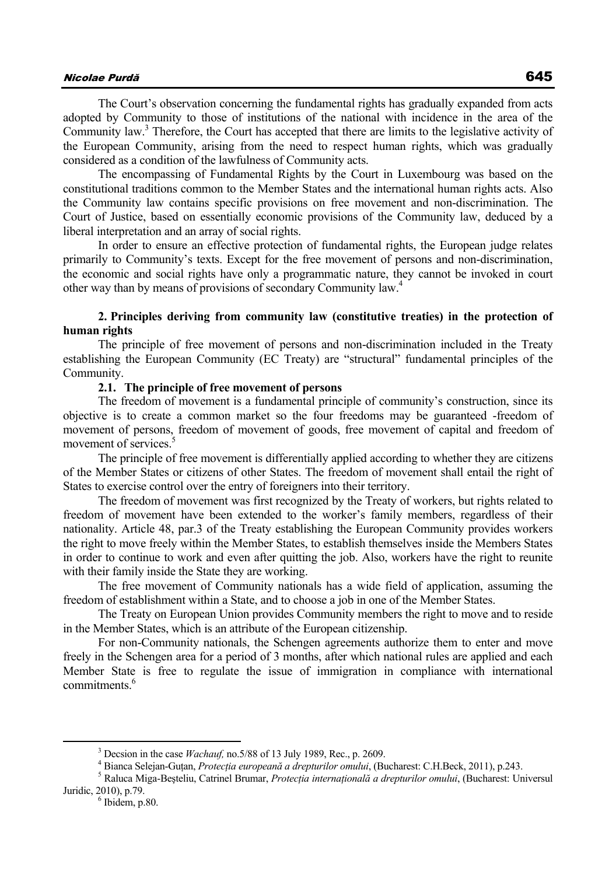## Nicolae Purd<sup>ă</sup> 645

The Court's observation concerning the fundamental rights has gradually expanded from acts adopted by Community to those of institutions of the national with incidence in the area of the Community law.<sup>3</sup> Therefore, the Court has accepted that there are limits to the legislative activity of the European Community, arising from the need to respect human rights, which was gradually considered as a condition of the lawfulness of Community acts.

The encompassing of Fundamental Rights by the Court in Luxembourg was based on the constitutional traditions common to the Member States and the international human rights acts. Also the Community law contains specific provisions on free movement and non-discrimination. The Court of Justice, based on essentially economic provisions of the Community law, deduced by a liberal interpretation and an array of social rights.

In order to ensure an effective protection of fundamental rights, the European judge relates primarily to Community's texts. Except for the free movement of persons and non-discrimination, the economic and social rights have only a programmatic nature, they cannot be invoked in court other way than by means of provisions of secondary Community law.4

### **2. Principles deriving from community law (constitutive treaties) in the protection of human rights**

The principle of free movement of persons and non-discrimination included in the Treaty establishing the European Community (EC Treaty) are "structural" fundamental principles of the Community.

### **2.1. The principle of free movement of persons**

The freedom of movement is a fundamental principle of community's construction, since its objective is to create a common market so the four freedoms may be guaranteed -freedom of movement of persons, freedom of movement of goods, free movement of capital and freedom of movement of services.<sup>5</sup>

The principle of free movement is differentially applied according to whether they are citizens of the Member States or citizens of other States. The freedom of movement shall entail the right of States to exercise control over the entry of foreigners into their territory.

The freedom of movement was first recognized by the Treaty of workers, but rights related to freedom of movement have been extended to the worker's family members, regardless of their nationality. Article 48, par.3 of the Treaty establishing the European Community provides workers the right to move freely within the Member States, to establish themselves inside the Members States in order to continue to work and even after quitting the job. Also, workers have the right to reunite with their family inside the State they are working.

The free movement of Community nationals has a wide field of application, assuming the freedom of establishment within a State, and to choose a job in one of the Member States.

The Treaty on European Union provides Community members the right to move and to reside in the Member States, which is an attribute of the European citizenship.

For non-Community nationals, the Schengen agreements authorize them to enter and move freely in the Schengen area for a period of 3 months, after which national rules are applied and each Member State is free to regulate the issue of immigration in compliance with international commitments<sup>6</sup>

 $\frac{1}{3}$  $3$  Decsion in the case *Wachauf*, no. 5/88 of 13 July 1989, Rec., p. 2609.

<sup>&</sup>lt;sup>4</sup> Bianca Selejan-Guțan, Protecția europeană a drepturilor omului, (Bucharest: C.H.Beck, 2011), p.243.

Raluca Miga-Beşteliu, Catrinel Brumar, *Protecţia internaţională a drepturilor omului*, (Bucharest: Universul Juridic, 2010), p.79. 6

 $6$  Ibidem, p.80.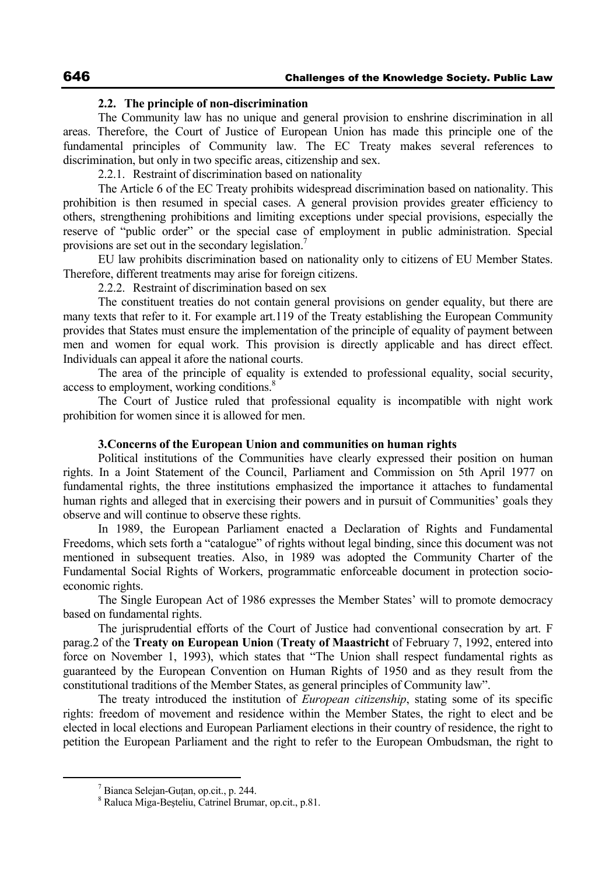#### **2.2. The principle of non-discrimination**

The Community law has no unique and general provision to enshrine discrimination in all areas. Therefore, the Court of Justice of European Union has made this principle one of the fundamental principles of Community law. The EC Treaty makes several references to discrimination, but only in two specific areas, citizenship and sex.

2.2.1. Restraint of discrimination based on nationality

The Article 6 of the EC Treaty prohibits widespread discrimination based on nationality. This prohibition is then resumed in special cases. A general provision provides greater efficiency to others, strengthening prohibitions and limiting exceptions under special provisions, especially the reserve of "public order" or the special case of employment in public administration. Special provisions are set out in the secondary legislation.<sup>7</sup>

EU law prohibits discrimination based on nationality only to citizens of EU Member States. Therefore, different treatments may arise for foreign citizens.

2.2.2. Restraint of discrimination based on sex

The constituent treaties do not contain general provisions on gender equality, but there are many texts that refer to it. For example art.119 of the Treaty establishing the European Community provides that States must ensure the implementation of the principle of equality of payment between men and women for equal work. This provision is directly applicable and has direct effect. Individuals can appeal it afore the national courts.

The area of the principle of equality is extended to professional equality, social security, access to employment, working conditions.<sup>8</sup>

The Court of Justice ruled that professional equality is incompatible with night work prohibition for women since it is allowed for men.

### **3.Concerns of the European Union and communities on human rights**

Political institutions of the Communities have clearly expressed their position on human rights. In a Joint Statement of the Council, Parliament and Commission on 5th April 1977 on fundamental rights, the three institutions emphasized the importance it attaches to fundamental human rights and alleged that in exercising their powers and in pursuit of Communities' goals they observe and will continue to observe these rights.

In 1989, the European Parliament enacted a Declaration of Rights and Fundamental Freedoms, which sets forth a "catalogue" of rights without legal binding, since this document was not mentioned in subsequent treaties. Also, in 1989 was adopted the Community Charter of the Fundamental Social Rights of Workers, programmatic enforceable document in protection socioeconomic rights.

The Single European Act of 1986 expresses the Member States' will to promote democracy based on fundamental rights.

The jurisprudential efforts of the Court of Justice had conventional consecration by art. F parag.2 of the **Treaty on European Union** (**Treaty of Maastricht** of February 7, 1992, entered into force on November 1, 1993), which states that "The Union shall respect fundamental rights as guaranteed by the European Convention on Human Rights of 1950 and as they result from the constitutional traditions of the Member States, as general principles of Community law".

The treaty introduced the institution of *European citizenship*, stating some of its specific rights: freedom of movement and residence within the Member States, the right to elect and be elected in local elections and European Parliament elections in their country of residence, the right to petition the European Parliament and the right to refer to the European Ombudsman, the right to

 <sup>7</sup>  $<sup>7</sup>$  Bianca Selejan-Guṭan, op.cit., p. 244.</sup>

Raluca Miga-Beşteliu, Catrinel Brumar, op.cit., p.81.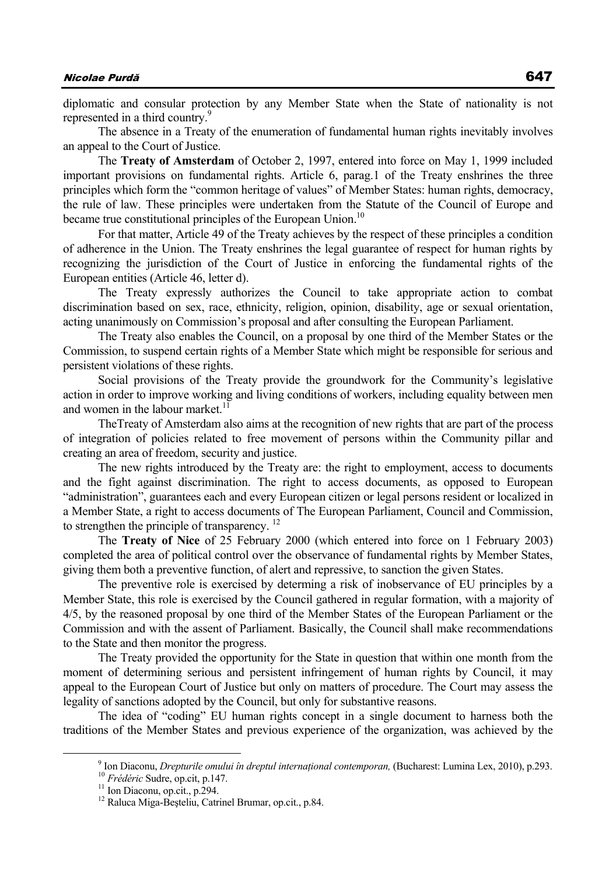## Nicolae Purd<sup>ă</sup> 647

diplomatic and consular protection by any Member State when the State of nationality is not represented in a third country.<sup>9</sup>

The absence in a Treaty of the enumeration of fundamental human rights inevitably involves an appeal to the Court of Justice.

The **Treaty of Amsterdam** of October 2, 1997, entered into force on May 1, 1999 included important provisions on fundamental rights. Article 6, parag.1 of the Treaty enshrines the three principles which form the "common heritage of values" of Member States: human rights, democracy, the rule of law. These principles were undertaken from the Statute of the Council of Europe and became true constitutional principles of the European Union.<sup>10</sup>

For that matter, Article 49 of the Treaty achieves by the respect of these principles a condition of adherence in the Union. The Treaty enshrines the legal guarantee of respect for human rights by recognizing the jurisdiction of the Court of Justice in enforcing the fundamental rights of the European entities (Article 46, letter d).

The Treaty expressly authorizes the Council to take appropriate action to combat discrimination based on sex, race, ethnicity, religion, opinion, disability, age or sexual orientation, acting unanimously on Commission's proposal and after consulting the European Parliament.

The Treaty also enables the Council, on a proposal by one third of the Member States or the Commission, to suspend certain rights of a Member State which might be responsible for serious and persistent violations of these rights.

Social provisions of the Treaty provide the groundwork for the Community's legislative action in order to improve working and living conditions of workers, including equality between men and women in the labour market. $^{11}$ 

TheTreaty of Amsterdam also aims at the recognition of new rights that are part of the process of integration of policies related to free movement of persons within the Community pillar and creating an area of freedom, security and justice.

The new rights introduced by the Treaty are: the right to employment, access to documents and the fight against discrimination. The right to access documents, as opposed to European "administration", guarantees each and every European citizen or legal persons resident or localized in a Member State, a right to access documents of The European Parliament, Council and Commission, to strengthen the principle of transparency.<sup>12</sup>

The **Treaty of Nice** of 25 February 2000 (which entered into force on 1 February 2003) completed the area of political control over the observance of fundamental rights by Member States, giving them both a preventive function, of alert and repressive, to sanction the given States.

The preventive role is exercised by determing a risk of inobservance of EU principles by a Member State, this role is exercised by the Council gathered in regular formation, with a majority of 4/5, by the reasoned proposal by one third of the Member States of the European Parliament or the Commission and with the assent of Parliament. Basically, the Council shall make recommendations to the State and then monitor the progress.

The Treaty provided the opportunity for the State in question that within one month from the moment of determining serious and persistent infringement of human rights by Council, it may appeal to the European Court of Justice but only on matters of procedure. The Court may assess the legality of sanctions adopted by the Council, but only for substantive reasons.

The idea of "coding" EU human rights concept in a single document to harness both the traditions of the Member States and previous experience of the organization, was achieved by the

 <sup>9</sup> <sup>9</sup> Ion Diaconu, *Drepturile omului în dreptul internațional contemporan*, (Bucharest: Lumina Lex, 2010), p.293. <sup>10</sup> *Frédéric* Sudre, op.cit., p.294. <sup>11</sup> Ion Diaconu, op.cit., p.294.

<sup>12</sup> Raluca Miga-Beşteliu, Catrinel Brumar, op.cit., p.84.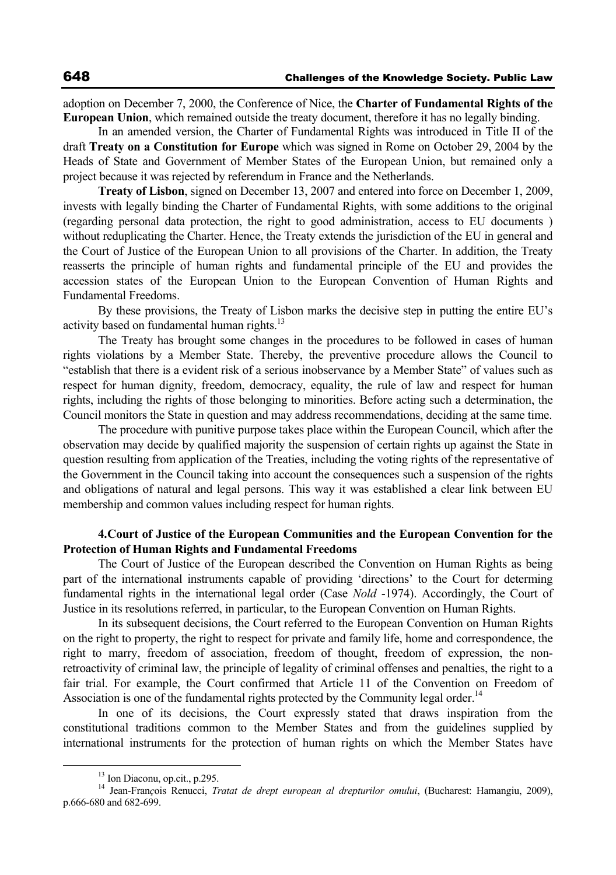adoption on December 7, 2000, the Conference of Nice, the **Charter of Fundamental Rights of the European Union**, which remained outside the treaty document, therefore it has no legally binding.

In an amended version, the Charter of Fundamental Rights was introduced in Title II of the draft **Treaty on a Constitution for Europe** which was signed in Rome on October 29, 2004 by the Heads of State and Government of Member States of the European Union, but remained only a project because it was rejected by referendum in France and the Netherlands.

**Treaty of Lisbon**, signed on December 13, 2007 and entered into force on December 1, 2009, invests with legally binding the Charter of Fundamental Rights, with some additions to the original (regarding personal data protection, the right to good administration, access to EU documents ) without reduplicating the Charter. Hence, the Treaty extends the jurisdiction of the EU in general and the Court of Justice of the European Union to all provisions of the Charter. In addition, the Treaty reasserts the principle of human rights and fundamental principle of the EU and provides the accession states of the European Union to the European Convention of Human Rights and Fundamental Freedoms.

By these provisions, the Treaty of Lisbon marks the decisive step in putting the entire EU's activity based on fundamental human rights. $13$ 

The Treaty has brought some changes in the procedures to be followed in cases of human rights violations by a Member State. Thereby, the preventive procedure allows the Council to "establish that there is a evident risk of a serious inobservance by a Member State" of values such as respect for human dignity, freedom, democracy, equality, the rule of law and respect for human rights, including the rights of those belonging to minorities. Before acting such a determination, the Council monitors the State in question and may address recommendations, deciding at the same time.

The procedure with punitive purpose takes place within the European Council, which after the observation may decide by qualified majority the suspension of certain rights up against the State in question resulting from application of the Treaties, including the voting rights of the representative of the Government in the Council taking into account the consequences such a suspension of the rights and obligations of natural and legal persons. This way it was established a clear link between EU membership and common values including respect for human rights.

### **4.Court of Justice of the European Communities and the European Convention for the Protection of Human Rights and Fundamental Freedoms**

The Court of Justice of the European described the Convention on Human Rights as being part of the international instruments capable of providing 'directions' to the Court for determing fundamental rights in the international legal order (Case *Nold* -1974). Accordingly, the Court of Justice in its resolutions referred, in particular, to the European Convention on Human Rights.

In its subsequent decisions, the Court referred to the European Convention on Human Rights on the right to property, the right to respect for private and family life, home and correspondence, the right to marry, freedom of association, freedom of thought, freedom of expression, the nonretroactivity of criminal law, the principle of legality of criminal offenses and penalties, the right to a fair trial. For example, the Court confirmed that Article 11 of the Convention on Freedom of Association is one of the fundamental rights protected by the Community legal order.<sup>14</sup>

In one of its decisions, the Court expressly stated that draws inspiration from the constitutional traditions common to the Member States and from the guidelines supplied by international instruments for the protection of human rights on which the Member States have

 <sup>13</sup> Ion Diaconu, op.cit., p.295.

<sup>14</sup> Jean-Fran*ç*ois Renucci, *Tratat de drept european al drepturilor omului*, (Bucharest: Hamangiu, 2009), p.666-680 and 682-699.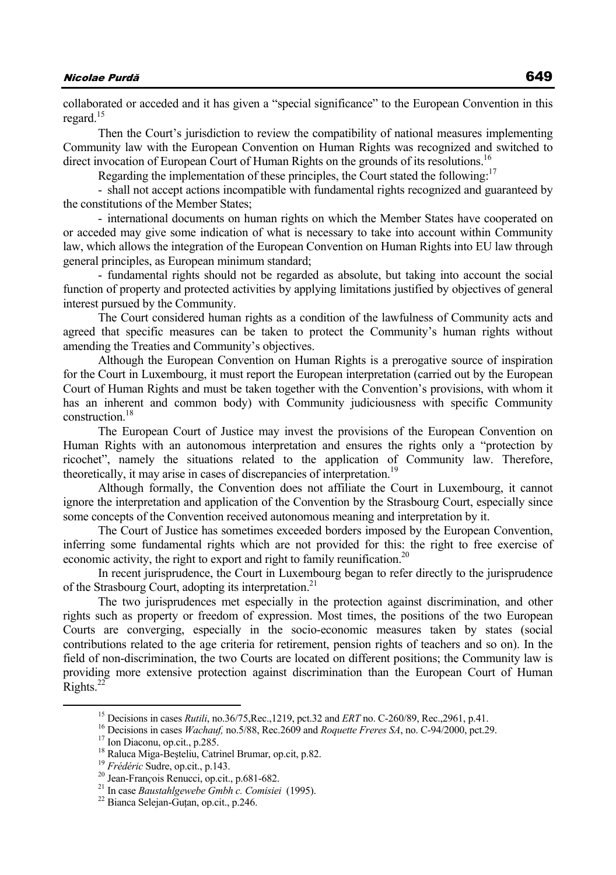collaborated or acceded and it has given a "special significance" to the European Convention in this regard.<sup>15</sup>

Then the Court's jurisdiction to review the compatibility of national measures implementing Community law with the European Convention on Human Rights was recognized and switched to direct invocation of European Court of Human Rights on the grounds of its resolutions.<sup>16</sup>

Regarding the implementation of these principles, the Court stated the following:<sup>17</sup>

- shall not accept actions incompatible with fundamental rights recognized and guaranteed by the constitutions of the Member States;

- international documents on human rights on which the Member States have cooperated on or acceded may give some indication of what is necessary to take into account within Community law, which allows the integration of the European Convention on Human Rights into EU law through general principles, as European minimum standard;

- fundamental rights should not be regarded as absolute, but taking into account the social function of property and protected activities by applying limitations justified by objectives of general interest pursued by the Community.

The Court considered human rights as a condition of the lawfulness of Community acts and agreed that specific measures can be taken to protect the Community's human rights without amending the Treaties and Community's objectives.

Although the European Convention on Human Rights is a prerogative source of inspiration for the Court in Luxembourg, it must report the European interpretation (carried out by the European Court of Human Rights and must be taken together with the Convention's provisions, with whom it has an inherent and common body) with Community judiciousness with specific Community construction<sup>18</sup>

The European Court of Justice may invest the provisions of the European Convention on Human Rights with an autonomous interpretation and ensures the rights only a "protection by ricochet", namely the situations related to the application of Community law. Therefore, theoretically, it may arise in cases of discrepancies of interpretation.<sup>19</sup>

Although formally, the Convention does not affiliate the Court in Luxembourg, it cannot ignore the interpretation and application of the Convention by the Strasbourg Court, especially since some concepts of the Convention received autonomous meaning and interpretation by it.

The Court of Justice has sometimes exceeded borders imposed by the European Convention, inferring some fundamental rights which are not provided for this: the right to free exercise of economic activity, the right to export and right to family reunification.<sup>20</sup>

In recent jurisprudence, the Court in Luxembourg began to refer directly to the jurisprudence of the Strasbourg Court, adopting its interpretation.<sup>21</sup>

The two jurisprudences met especially in the protection against discrimination, and other rights such as property or freedom of expression. Most times, the positions of the two European Courts are converging, especially in the socio-economic measures taken by states (social contributions related to the age criteria for retirement, pension rights of teachers and so on). In the field of non-discrimination, the two Courts are located on different positions; the Community law is providing more extensive protection against discrimination than the European Court of Human Rights. $^{22}$ 

<sup>&</sup>lt;sup>15</sup> Decisions in cases *Rutili*, no.36/75, Rec., 1219, pct.32 and *ERT* no. C-260/89, Rec., 2961, p.41.<br><sup>16</sup> Decisions in cases *Wachauf*, no.5/88, Rec.2609 and *Roquette Freres SA*, no. C-94/2000, pct.29.<br><sup>17</sup> Ion Diaco

<sup>&</sup>lt;sup>18</sup> Raluca Miga-Beșteliu, Catrinel Brumar, op.cit, p.82.<br><sup>19</sup> *Frédéric* Sudre, op.cit., p.143.<br><sup>20</sup> Jean-François Renucci, op.cit., p.681-682.<br><sup>21</sup> In case *Baustahlgewebe Gmbh c. Comisiei* (1995).<br><sup>22</sup> Bianca Seleian-G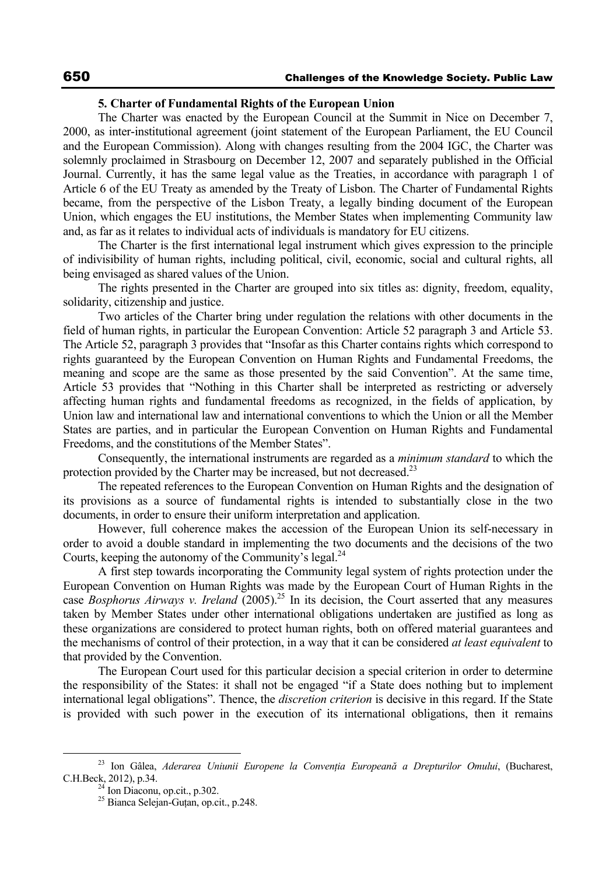#### **5. Charter of Fundamental Rights of the European Union**

The Charter was enacted by the European Council at the Summit in Nice on December 7, 2000, as inter-institutional agreement (joint statement of the European Parliament, the EU Council and the European Commission). Along with changes resulting from the 2004 IGC, the Charter was solemnly proclaimed in Strasbourg on December 12, 2007 and separately published in the Official Journal. Currently, it has the same legal value as the Treaties, in accordance with paragraph 1 of Article 6 of the EU Treaty as amended by the Treaty of Lisbon. The Charter of Fundamental Rights became, from the perspective of the Lisbon Treaty, a legally binding document of the European Union, which engages the EU institutions, the Member States when implementing Community law and, as far as it relates to individual acts of individuals is mandatory for EU citizens.

The Charter is the first international legal instrument which gives expression to the principle of indivisibility of human rights, including political, civil, economic, social and cultural rights, all being envisaged as shared values of the Union.

The rights presented in the Charter are grouped into six titles as: dignity, freedom, equality, solidarity, citizenship and justice.

Two articles of the Charter bring under regulation the relations with other documents in the field of human rights, in particular the European Convention: Article 52 paragraph 3 and Article 53. The Article 52, paragraph 3 provides that "Insofar as this Charter contains rights which correspond to rights guaranteed by the European Convention on Human Rights and Fundamental Freedoms, the meaning and scope are the same as those presented by the said Convention". At the same time, Article 53 provides that "Nothing in this Charter shall be interpreted as restricting or adversely affecting human rights and fundamental freedoms as recognized, in the fields of application, by Union law and international law and international conventions to which the Union or all the Member States are parties, and in particular the European Convention on Human Rights and Fundamental Freedoms, and the constitutions of the Member States".

Consequently, the international instruments are regarded as a *minimum standard* to which the protection provided by the Charter may be increased, but not decreased.<sup>23</sup>

The repeated references to the European Convention on Human Rights and the designation of its provisions as a source of fundamental rights is intended to substantially close in the two documents, in order to ensure their uniform interpretation and application.

However, full coherence makes the accession of the European Union its self-necessary in order to avoid a double standard in implementing the two documents and the decisions of the two Courts, keeping the autonomy of the Community's legal. $^{24}$ 

A first step towards incorporating the Community legal system of rights protection under the European Convention on Human Rights was made by the European Court of Human Rights in the case *Bosphorus Airways v. Ireland* (2005).<sup>25</sup> In its decision, the Court asserted that any measures taken by Member States under other international obligations undertaken are justified as long as these organizations are considered to protect human rights, both on offered material guarantees and the mechanisms of control of their protection, in a way that it can be considered *at least equivalent* to that provided by the Convention.

The European Court used for this particular decision a special criterion in order to determine the responsibility of the States: it shall not be engaged "if a State does nothing but to implement international legal obligations". Thence, the *discretion criterion* is decisive in this regard. If the State is provided with such power in the execution of its international obligations, then it remains

 <sup>23</sup> Ion Gâlea, *Aderarea Uniunii Europene la Convenţia Europeană a Drepturilor Omului*, (Bucharest, C.H.Beck, 2012), p.34.<br><sup>24</sup> Ion Diaconu, op.cit., p.302.

<sup>&</sup>lt;sup>25</sup> Bianca Selejan-Gutan, op.cit., p.248.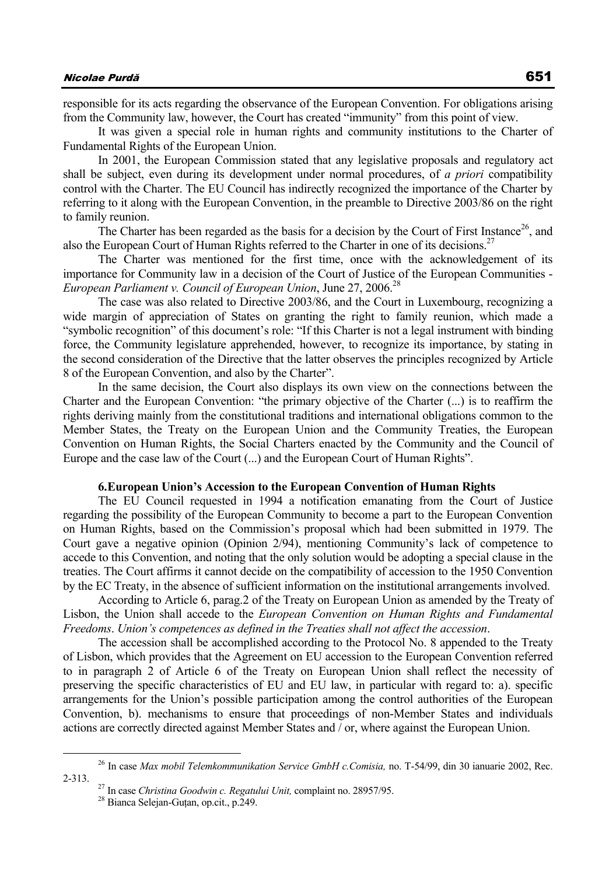responsible for its acts regarding the observance of the European Convention. For obligations arising from the Community law, however, the Court has created "immunity" from this point of view.

It was given a special role in human rights and community institutions to the Charter of Fundamental Rights of the European Union.

In 2001, the European Commission stated that any legislative proposals and regulatory act shall be subject, even during its development under normal procedures, of *a priori* compatibility control with the Charter. The EU Council has indirectly recognized the importance of the Charter by referring to it along with the European Convention, in the preamble to Directive 2003/86 on the right to family reunion.

The Charter has been regarded as the basis for a decision by the Court of First Instance<sup>26</sup>, and also the European Court of Human Rights referred to the Charter in one of its decisions.<sup>27</sup>

The Charter was mentioned for the first time, once with the acknowledgement of its importance for Community law in a decision of the Court of Justice of the European Communities - *European Parliament v. Council of European Union, June 27, 2006.*<sup>28</sup>

The case was also related to Directive 2003/86, and the Court in Luxembourg, recognizing a wide margin of appreciation of States on granting the right to family reunion, which made a "symbolic recognition" of this document's role: "If this Charter is not a legal instrument with binding force, the Community legislature apprehended, however, to recognize its importance, by stating in the second consideration of the Directive that the latter observes the principles recognized by Article 8 of the European Convention, and also by the Charter".

In the same decision, the Court also displays its own view on the connections between the Charter and the European Convention: "the primary objective of the Charter (...) is to reaffirm the rights deriving mainly from the constitutional traditions and international obligations common to the Member States, the Treaty on the European Union and the Community Treaties, the European Convention on Human Rights, the Social Charters enacted by the Community and the Council of Europe and the case law of the Court (...) and the European Court of Human Rights".

### **6.European Union's Accession to the European Convention of Human Rights**

The EU Council requested in 1994 a notification emanating from the Court of Justice regarding the possibility of the European Community to become a part to the European Convention on Human Rights, based on the Commission's proposal which had been submitted in 1979. The Court gave a negative opinion (Opinion 2/94), mentioning Community's lack of competence to accede to this Convention, and noting that the only solution would be adopting a special clause in the treaties. The Court affirms it cannot decide on the compatibility of accession to the 1950 Convention by the EC Treaty, in the absence of sufficient information on the institutional arrangements involved.

According to Article 6, parag.2 of the Treaty on European Union as amended by the Treaty of Lisbon, the Union shall accede to the *European Convention on Human Rights and Fundamental Freedoms*. *Union's competences as defined in the Treaties shall not affect the accession*.

The accession shall be accomplished according to the Protocol No. 8 appended to the Treaty of Lisbon, which provides that the Agreement on EU accession to the European Convention referred to in paragraph 2 of Article 6 of the Treaty on European Union shall reflect the necessity of preserving the specific characteristics of EU and EU law, in particular with regard to: a). specific arrangements for the Union's possible participation among the control authorities of the European Convention, b). mechanisms to ensure that proceedings of non-Member States and individuals actions are correctly directed against Member States and / or, where against the European Union.

<sup>&</sup>lt;sup>26</sup> In case *Max mobil Telemkommunikation Service GmbH c.Comisia, no.* T-54/99, din 30 ianuarie 2002, Rec. 2-313.

<sup>&</sup>lt;sup>27</sup> In case *Christina Goodwin c. Regatului Unit*, complaint no. 28957/95.<br><sup>28</sup> Bianca Selejan-Guţan, op.cit., p.249.